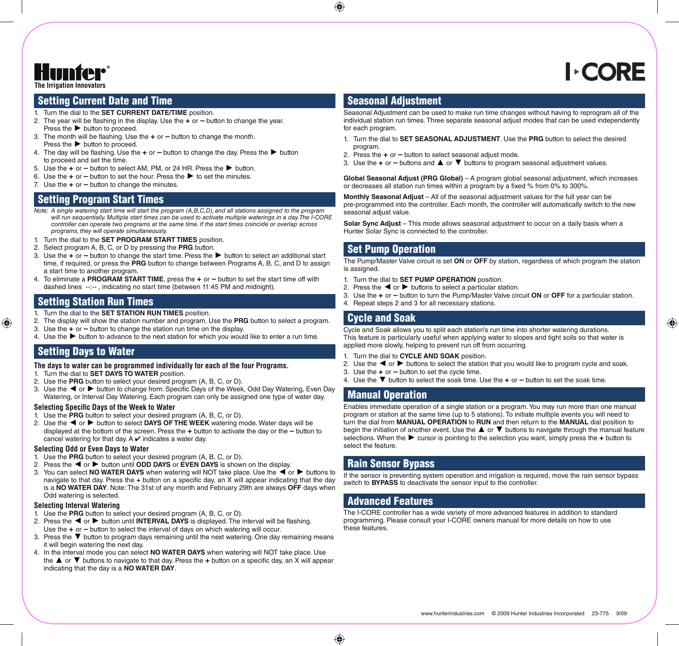**The Irrigation Innovators**

# **CORE**

## Setting Current Date and Time

- 1. Turn the dial to the **SET CURRENT DATE/TIME** position.
- 2. The year will be flashing in the display. Use the **+** or **–** button to change the year. Press the **►** button to proceed.
- 3. The month will be flashing. Use the **+** or **–** button to change the month. Press the **►** button to proceed.
- 4. The day will be flashing. Use the **+** or **–** button to change the day. Press the **►** button to proceed and set the time.
- 5. Use the **+** or **–** button to select AM, PM, or 24 HR. Press the **►** button.
- 6. Use the **+** or **–** button to set the hour. Press the **►** to set the minutes.
- 7. Use the **+** or **–** button to change the minutes.

## Setting Program Start Times

- *Note: A single watering start time will start the program (A,B,C,D), and all stations assigned to the program will run sequentially. Multiple start times can be used to activate multiple waterings in a day. The I-CORE controller can operate two programs at the same time. If the start times coincide or overlap across programs, they will operate simultaneously.*
- 1. Turn the dial to the **SET PROGRAM START TIMES** position.
- 2. Select program A, B, C, or D by pressing the **PRG** button.
- 3. Use the **+** or **–** button to change the start time. Press the **►** button to select an additional start time, if required, or press the **PRG** button to change between Programs A, B, C, and D to assign a start time to another program.
- 4. To eliminate a **Program Start Time**, press the **+** or **–** button to set the start time off with dashed lines --:-- , indicating no start time (between 11:45 PM and midnight).

## Setting Station Run Times

- 1. Turn the dial to the **SET STATION RUN TIMES** position.
- 2. The display will show the station number and program. Use the **PRG** button to select a program.
- 3. Use the **+** or **–** button to change the station run time on the display.
- 4. Use the **►** button to advance to the next station for which you would like to enter a run time.

# Setting Days to Water

#### **The days to water can be programmed individually for each of the four Programs.**

- 1. Turn the dial to **SET DAYS TO WATER** position.
- 2. Use the **PRG** button to select your desired program (A, B, C, or D).
- 3. Use the **◄** or **►** button to change from: Specific Days of the Week, Odd Day Watering, Even Day Watering, or Interval Day Watering. Each program can only be assigned one type of water day.

#### **Selecting Specific Days of the Week to Water**

- 1. Use the **PRG** button to select your desired program (A, B, C, or D).
- 2. Use the **◄** or **►** button to select **Days of The Week** watering mode. Water days will be displayed at the bottom of the screen. Press the **+** button to activate the day or the **–** button to cancel watering for that day. A  $\vee$  indicates a water day.

#### **Selecting Odd or Even Days to Water**

- 1. Use the **PRG** button to select your desired program (A, B, C, or D).
- 2. Press the **◄** or **►** button until **Odd Days** or **Even Days** is shown on the display.
- 3. You can select **No Water Days** when watering will NOT take place. Use the **◄** or **►** buttons to navigate to that day. Press the **+** button on a specific day, an X will appear indicating that the day is a **No Water day**. Note: The 31st of any month and February 29th are always **OFF** days when Odd watering is selected.

#### **Selecting Interval Watering**

- 1. Use the **PRG** button to select your desired program (A, B, C, or D).
- 2. Press the **◄** or **►** button until **Interval Days** is displayed. The interval will be flashing. Use the **+** or **–** button to select the interval of days on which watering will occur.
- 3. Press the **▼** button to program days remaining until the next watering. One day remaining means it will begin watering the next day.
- 4. In the interval mode you can select **No Water Days** when watering will NOT take place. Use the **▲** or **▼** buttons to navigate to that day. Press the **+** button on a specific day, an X will appear indicating that the day is a **NO WATER DAY**.

## Seasonal Adjustment

Seasonal Adjustment can be used to make run time changes without having to reprogram all of the individual station run times. Three separate seasonal adjust modes that can be used independently for each program.

- 1. Turn the dial to **SET SEASONAL ADJUSTMENT**. Use the **PRG** button to select the desired program.
- 2. Press the **+** or **–** button to select seasonal adjust mode.
- 3. Use the **+** or **–** buttons and **▲** or **▼** buttons to program seasonal adjustment values.

**Global Seasonal Adjust (PRG Global)** – A program global seasonal adjustment, which increases or decreases all station run times within a program by a fixed % from 0% to 300%.

**Monthly Seasonal Adjust** – All of the seasonal adjustment values for the full year can be pre-programmed into the controller. Each month, the controller will automatically switch to the new seasonal adiust value.

**Solar Sync Adjust** – This mode allows seasonal adjustment to occur on a daily basis when a Hunter Solar Sync is connected to the controller.

## Set Pump Operation

The Pump/Master Valve circuit is set **ON** or **OFF** by station, regardless of which program the station is assigned.

- 1. Turn the dial to **SET PUMP OPERATION** position.
- 2. Press the **◄** or **►** buttons to select a particular station.
- 3. Use the **+** or **–** button to turn the Pump/Master Valve circuit **ON** or **OFF** for a particular station.
- 4. Repeat steps 2 and 3 for all necessary stations.

# Cycle and Soak

Cycle and Soak allows you to split each station's run time into shorter watering durations. This feature is particularly useful when applying water to slopes and tight soils so that water is applied more slowly, helping to prevent run off from occurring.

- 1. Turn the dial to **Cycle and Soak** position.
- 2. Use the **◄** or **►** buttons to select the station that you would like to program cycle and soak.
- 3. Use the **+** or **–** button to set the cycle time.
- 4. Use the **▼** button to select the soak time. Use the **+** or **–** button to set the soak time.

# Manual Operation

Enables immediate operation of a single station or a program. You may run more than one manual program or station at the same time (up to 5 stations). To initiate multiple events you will need to turn the dial from **Manual Operation** to **Run** and then return to the **Manual** dial position to begin the initiation of another event. Use the **▲** or **▼** buttons to navigate through the manual feature selections. When the **►** cursor is pointing to the selection you want, simply press the **+** button to select the feature.

# Rain Sensor Bypass

If the sensor is preventing system operation and irrigation is required, move the rain sensor bypass switch to **BYPASS** to deactivate the sensor input to the controller.

## Advanced Features

The I-CORE controller has a wide variety of more advanced features in addition to standard programming. Please consult your I-CORE owners manual for more details on how to use these features.